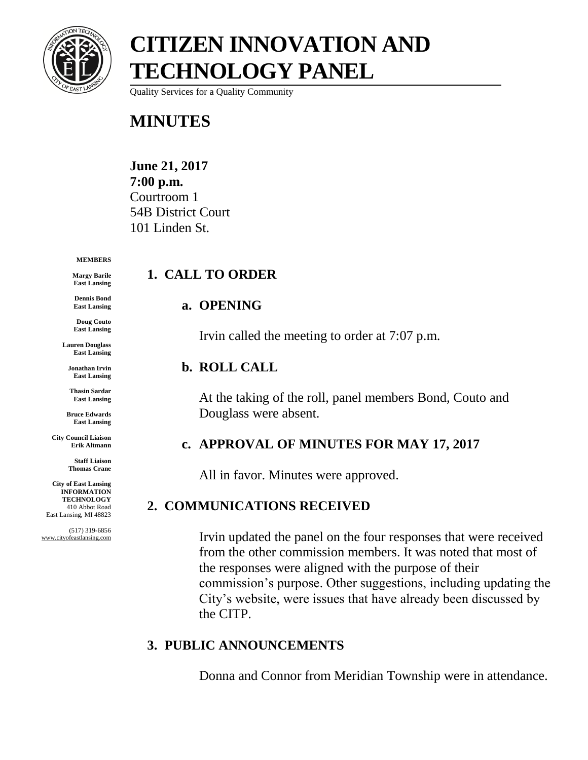

# **CITIZEN INNOVATION AND TECHNOLOGY PANEL**

Quality Services for a Quality Community

### **MINUTES**

**June 21, 2017 7:00 p.m.** Courtroom 1 54B District Court 101 Linden St.

#### **MEMBERS**

**Margy Barile East Lansing**

**Dennis Bond East Lansing**

**Doug Couto East Lansing**

**Lauren Douglass East Lansing**

**Jonathan Irvin East Lansing**

**Thasin Sardar East Lansing**

**Bruce Edwards East Lansing**

**City Council Liaison Erik Altmann**

> **Staff Liaison Thomas Crane**

**City of East Lansing INFORMATION TECHNOLOGY** 410 Abbot Road East Lansing, MI 48823

(517) 319-6856 www.cityofeastlansing.com

### **1. CALL TO ORDER**

#### **a. OPENING**

Irvin called the meeting to order at 7:07 p.m.

#### **b. ROLL CALL**

At the taking of the roll, panel members Bond, Couto and Douglass were absent.

#### **c. APPROVAL OF MINUTES FOR MAY 17, 2017**

All in favor. Minutes were approved.

#### **2. COMMUNICATIONS RECEIVED**

Irvin updated the panel on the four responses that were received from the other commission members. It was noted that most of the responses were aligned with the purpose of their commission's purpose. Other suggestions, including updating the City's website, were issues that have already been discussed by the CITP.

#### **3. PUBLIC ANNOUNCEMENTS**

Donna and Connor from Meridian Township were in attendance.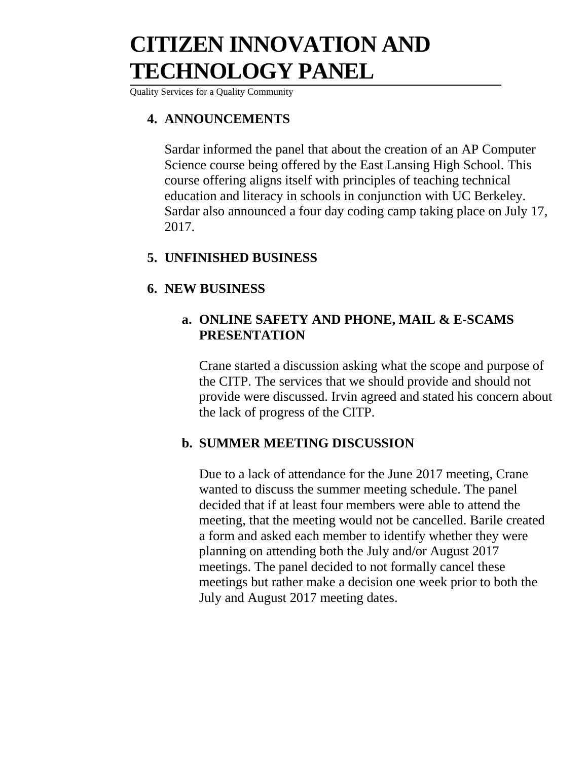# **CITIZEN INNOVATION AND TECHNOLOGY PANEL**

Quality Services for a Quality Community

#### **4. ANNOUNCEMENTS**

Sardar informed the panel that about the creation of an AP Computer Science course being offered by the East Lansing High School. This course offering aligns itself with principles of teaching technical education and literacy in schools in conjunction with UC Berkeley. Sardar also announced a four day coding camp taking place on July 17, 2017.

#### **5. UNFINISHED BUSINESS**

#### **6. NEW BUSINESS**

#### **a. ONLINE SAFETY AND PHONE, MAIL & E-SCAMS PRESENTATION**

Crane started a discussion asking what the scope and purpose of the CITP. The services that we should provide and should not provide were discussed. Irvin agreed and stated his concern about the lack of progress of the CITP.

#### **b. SUMMER MEETING DISCUSSION**

Due to a lack of attendance for the June 2017 meeting, Crane wanted to discuss the summer meeting schedule. The panel decided that if at least four members were able to attend the meeting, that the meeting would not be cancelled. Barile created a form and asked each member to identify whether they were planning on attending both the July and/or August 2017 meetings. The panel decided to not formally cancel these meetings but rather make a decision one week prior to both the July and August 2017 meeting dates.